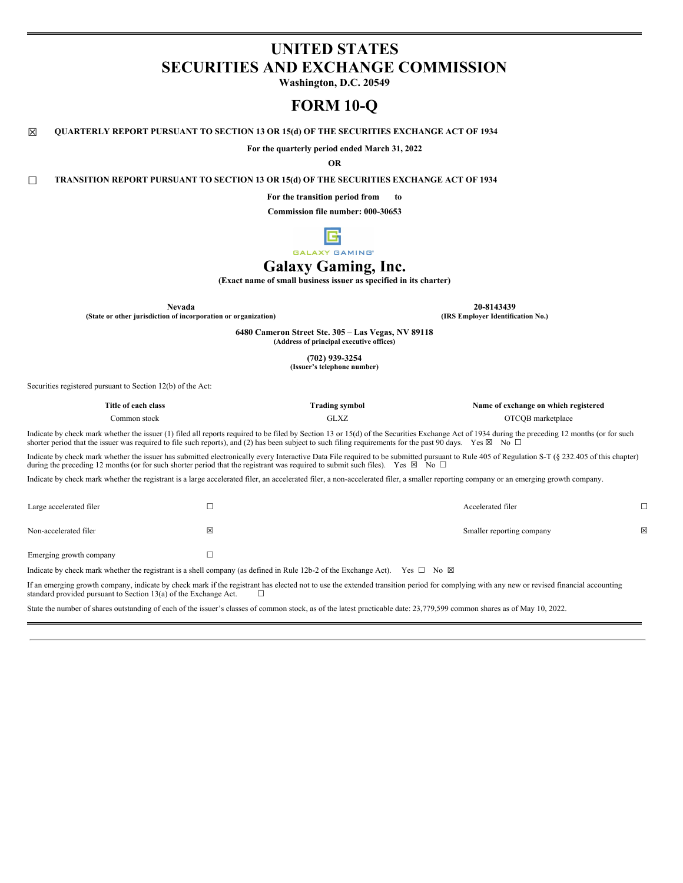# **UNITED STATES SECURITIES AND EXCHANGE COMMISSION**

**Washington, D.C. 20549**

# **FORM 10-Q**

**☒ QUARTERLY REPORT PURSUANT TO SECTION 13 OR 15(d) OF THE SECURITIES EXCHANGE ACT OF 1934**

**For the quarterly period ended March 31, 2022**

**OR**

**☐ TRANSITION REPORT PURSUANT TO SECTION 13 OR 15(d) OF THE SECURITIES EXCHANGE ACT OF 1934**

**For the transition period from to**

**Commission file number: 000-30653**



# **Galaxy Gaming, Inc.**

**(Exact name of small business issuer as specified in its charter)**

**(State or other jurisdiction of incorporation or organization) (IRS Employer Identification No.)**

**Nevada 20-8143439**

**6480 Cameron Street Ste. 305 – Las Vegas, NV 89118 (Address of principal executive offices)**

> **(702) 939-3254 (Issuer's telephone number)**

Securities registered pursuant to Section 12(b) of the Act:

| Title of each class                                                                                                                                                                                                                                                                                                                                                       | Trading symbol | Name of exchange on which registered |
|---------------------------------------------------------------------------------------------------------------------------------------------------------------------------------------------------------------------------------------------------------------------------------------------------------------------------------------------------------------------------|----------------|--------------------------------------|
| Common stock-                                                                                                                                                                                                                                                                                                                                                             | <b>GLXZ</b>    | OTCOB marketplace                    |
| Indicate by check mark whether the issuer (1) filed all reports required to be filed by Section 13 or 15(d) of the Securities Exchange Act of 1934 during the preceding 12 months (or for such<br>shorter period that the issuer was required to file such reports), and (2) has been subject to such filing requirements for the past 90 days. Yes $\boxtimes$ No $\Box$ |                |                                      |
| Indicate by check mark whether the issuer has submitted electronically every Interactive Data File required to be submitted pursuant to Rule 405 of Regulation S-T (§ 232.405 of this chapter)<br>during the preceding 12 months (or for such shorter period that the registrant was required to submit such files). Yes $\boxtimes$ No $\Box$                            |                |                                      |

Indicate by check mark whether the registrant is a large accelerated filer, an accelerated filer, a non-accelerated filer, a smaller reporting company or an emerging growth company.

| Large accelerated filer |                                                                                                                                            | Accelerated filer         |   |
|-------------------------|--------------------------------------------------------------------------------------------------------------------------------------------|---------------------------|---|
| Non-accelerated filer   | ×                                                                                                                                          | Smaller reporting company | × |
| Emerging growth company |                                                                                                                                            |                           |   |
|                         | Indicate by check mark whether the registrant is a shell company (as defined in Rule 12b-2 of the Exchange Act). Yes $\Box$ No $\boxtimes$ |                           |   |

If an emerging growth company, indicate by check mark if the registrant has elected not to use the extended transition period for complying with any new or revised financial accounting standard provided pursuant to Sectio standard provided pursuant to Section 13(a) of the Exchange Act.

State the number of shares outstanding of each of the issuer's classes of common stock, as of the latest practicable date: 23,779,599 common shares as of May 10, 2022.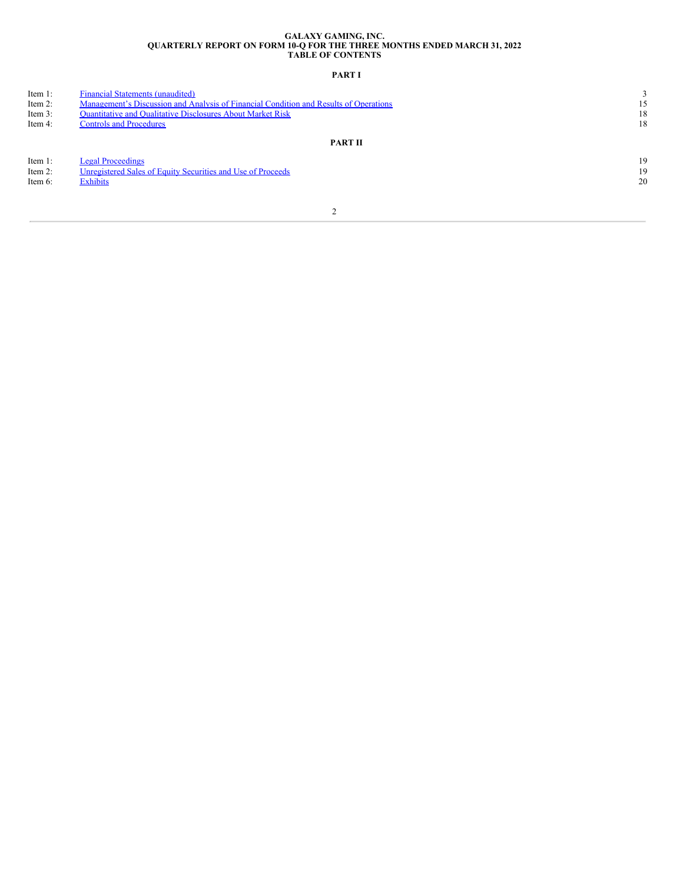#### **GALAXY GAMING, INC. QUARTERLY REPORT ON FORM 10-Q FOR THE THREE MONTHS ENDED MARCH 31, 2022 TABLE OF CONTENTS**

# **PART I**

| Item 1:<br>Item 2:<br>Item 3:<br>Item 4: | <b>Financial Statements (unaudited)</b><br>Management's Discussion and Analysis of Financial Condition and Results of Operations<br><b>Quantitative and Qualitative Disclosures About Market Risk</b><br><b>Controls and Procedures</b> | 15<br>18<br>18 |
|------------------------------------------|-----------------------------------------------------------------------------------------------------------------------------------------------------------------------------------------------------------------------------------------|----------------|
|                                          | <b>PART II</b>                                                                                                                                                                                                                          |                |
| Item 1:<br>Item 2:<br>Item 6:            | <b>Legal Proceedings</b><br>Unregistered Sales of Equity Securities and Use of Proceeds<br><b>Exhibits</b>                                                                                                                              | 19<br>19<br>20 |
|                                          |                                                                                                                                                                                                                                         |                |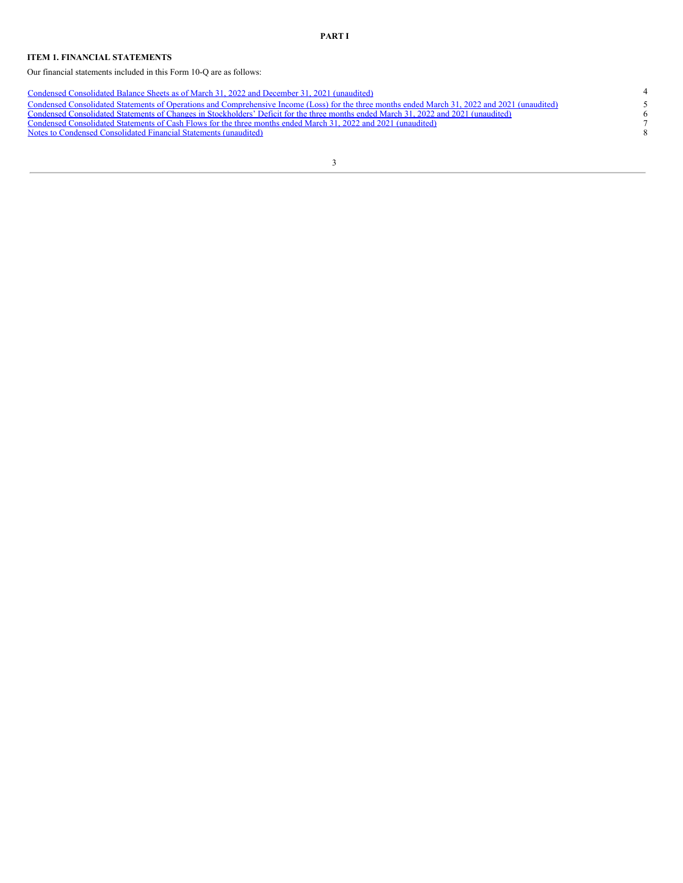# **PART I**

# <span id="page-2-0"></span>**ITEM 1. FINANCIAL STATEMENTS**

Our financial statements included in this Form 10-Q are as follows:

| Condensed Consolidated Balance Sheets as of March 31, 2022 and December 31, 2021 (unaudited)                                                   |  |
|------------------------------------------------------------------------------------------------------------------------------------------------|--|
| Condensed Consolidated Statements of Operations and Comprehensive Income (Loss) for the three months ended March 31, 2022 and 2021 (unaudited) |  |
| Condensed Consolidated Statements of Changes in Stockholders' Deficit for the three months ended March 31, 2022 and 2021 (unaudited)           |  |
| Condensed Consolidated Statements of Cash Flows for the three months ended March 31, 2022 and 2021 (unaudited)                                 |  |
| Notes to Condensed Consolidated Financial Statements (unaudited)                                                                               |  |
|                                                                                                                                                |  |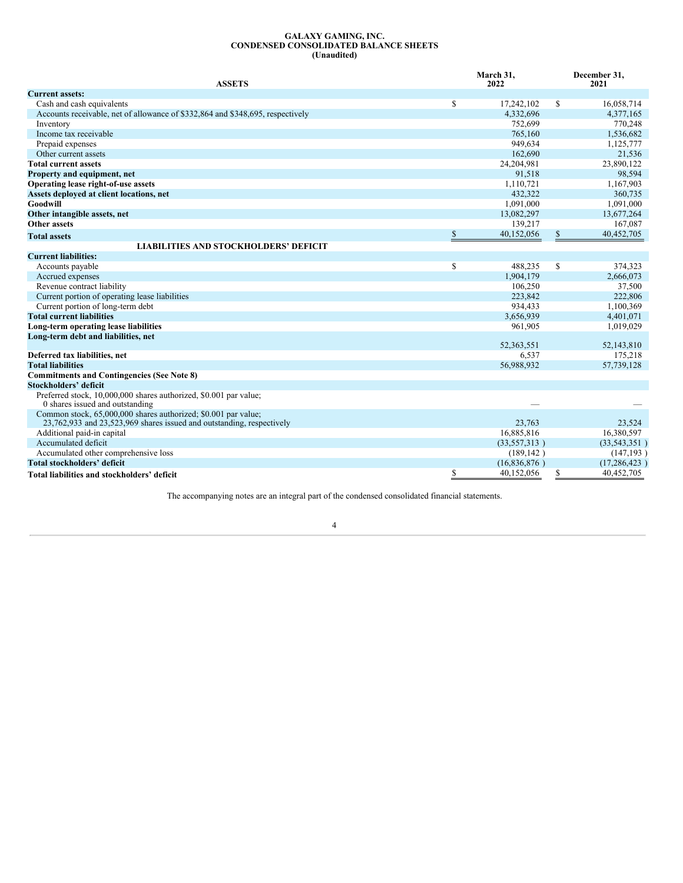#### **GALAXY GAMING, INC. CONDENSED CONSOLIDATED BALANCE SHEETS (Unaudited)**

<span id="page-3-0"></span>

| <b>ASSETS</b>                                                                                                                           | March 31,<br>2022 |                |               |                |
|-----------------------------------------------------------------------------------------------------------------------------------------|-------------------|----------------|---------------|----------------|
| <b>Current assets:</b>                                                                                                                  |                   |                |               |                |
| Cash and cash equivalents                                                                                                               | \$                | 17,242,102     | S             | 16,058,714     |
| Accounts receivable, net of allowance of \$332,864 and \$348,695, respectively                                                          |                   | 4,332,696      |               | 4,377,165      |
| Inventory                                                                                                                               |                   | 752,699        |               | 770,248        |
| Income tax receivable                                                                                                                   |                   | 765,160        |               | 1,536,682      |
| Prepaid expenses                                                                                                                        |                   | 949.634        |               | 1,125,777      |
| Other current assets                                                                                                                    |                   | 162,690        |               | 21,536         |
| <b>Total current assets</b>                                                                                                             |                   | 24,204,981     |               | 23,890,122     |
| Property and equipment, net                                                                                                             |                   | 91,518         |               | 98,594         |
| Operating lease right-of-use assets                                                                                                     |                   | 1,110,721      |               | 1,167,903      |
| Assets deployed at client locations, net                                                                                                |                   | 432,322        |               | 360,735        |
| Goodwill                                                                                                                                |                   | 1,091,000      |               | 1,091,000      |
| Other intangible assets, net                                                                                                            |                   | 13,082,297     |               | 13,677,264     |
| Other assets                                                                                                                            |                   | 139,217        |               | 167,087        |
| <b>Total assets</b>                                                                                                                     | \$                | 40,152,056     | \$            | 40,452,705     |
| <b>LIABILITIES AND STOCKHOLDERS' DEFICIT</b>                                                                                            |                   |                |               |                |
| <b>Current liabilities:</b>                                                                                                             |                   |                |               |                |
| Accounts payable                                                                                                                        | \$                | 488,235        | <sup>\$</sup> | 374,323        |
| Accrued expenses                                                                                                                        |                   | 1,904,179      |               | 2,666,073      |
| Revenue contract liability                                                                                                              |                   | 106,250        |               | 37,500         |
| Current portion of operating lease liabilities                                                                                          |                   | 223,842        |               | 222,806        |
| Current portion of long-term debt                                                                                                       |                   | 934,433        |               | 1,100,369      |
| <b>Total current liabilities</b>                                                                                                        |                   | 3,656,939      |               | 4,401,071      |
| Long-term operating lease liabilities                                                                                                   |                   | 961,905        |               | 1,019,029      |
| Long-term debt and liabilities, net                                                                                                     |                   | 52, 363, 551   |               | 52,143,810     |
| Deferred tax liabilities, net                                                                                                           |                   | 6,537          |               | 175,218        |
| <b>Total liabilities</b>                                                                                                                |                   | 56,988,932     |               | 57,739,128     |
| <b>Commitments and Contingencies (See Note 8)</b>                                                                                       |                   |                |               |                |
| Stockholders' deficit                                                                                                                   |                   |                |               |                |
| Preferred stock, 10,000,000 shares authorized, \$0.001 par value;<br>0 shares issued and outstanding                                    |                   |                |               |                |
| Common stock, 65,000,000 shares authorized; \$0.001 par value;<br>23,762,933 and 23,523,969 shares issued and outstanding, respectively |                   | 23,763         |               | 23,524         |
| Additional paid-in capital                                                                                                              |                   | 16,885,816     |               | 16,380,597     |
| Accumulated deficit                                                                                                                     |                   | (33, 557, 313) |               | (33, 543, 351) |
| Accumulated other comprehensive loss                                                                                                    |                   | (189, 142)     |               | (147, 193)     |
| <b>Total stockholders' deficit</b>                                                                                                      |                   | (16,836,876)   |               | (17, 286, 423) |
| Total liabilities and stockholders' deficit                                                                                             | \$                | 40,152,056     | S             | 40,452,705     |

The accompanying notes are an integral part of the condensed consolidated financial statements.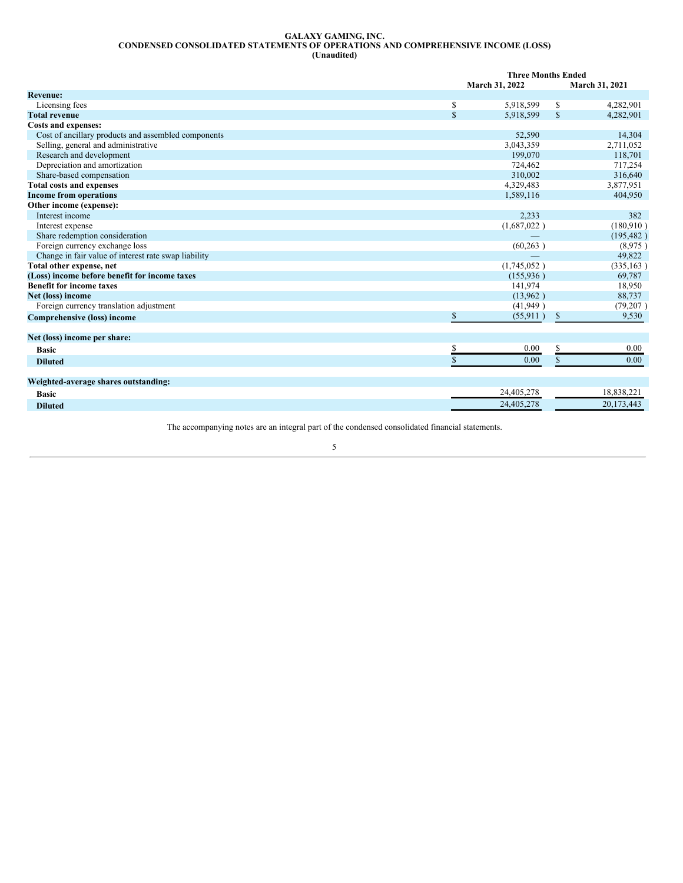#### **GALAXY GAMING, INC. CONDENSED CONSOLIDATED STATEMENTS OF OPERATIONS AND COMPREHENSIVE INCOME (LOSS) (Unaudited)**

<span id="page-4-0"></span>

|                                                      |              | <b>Three Months Ended</b> |               |                |  |  |
|------------------------------------------------------|--------------|---------------------------|---------------|----------------|--|--|
|                                                      |              | March 31, 2022            |               | March 31, 2021 |  |  |
| <b>Revenue:</b>                                      |              |                           |               |                |  |  |
| Licensing fees                                       | \$           | 5,918,599                 | \$            | 4,282,901      |  |  |
| <b>Total revenue</b>                                 | $\mathbf S$  | 5,918,599                 | $\mathbb{S}$  | 4,282,901      |  |  |
| <b>Costs and expenses:</b>                           |              |                           |               |                |  |  |
| Cost of ancillary products and assembled components  |              | 52,590                    |               | 14,304         |  |  |
| Selling, general and administrative                  |              | 3,043,359                 |               | 2,711,052      |  |  |
| Research and development                             |              | 199,070                   |               | 118,701        |  |  |
| Depreciation and amortization                        |              | 724,462                   |               | 717,254        |  |  |
| Share-based compensation                             |              | 310,002                   |               | 316,640        |  |  |
| <b>Total costs and expenses</b>                      |              | 4,329,483                 |               | 3,877,951      |  |  |
| <b>Income from operations</b>                        |              | 1,589,116                 |               | 404,950        |  |  |
| Other income (expense):                              |              |                           |               |                |  |  |
| Interest income                                      |              | 2,233                     |               | 382            |  |  |
| Interest expense                                     |              | (1,687,022)               |               | (180, 910)     |  |  |
| Share redemption consideration                       |              |                           |               | (195, 482)     |  |  |
| Foreign currency exchange loss                       |              | (60, 263)                 |               | (8,975)        |  |  |
| Change in fair value of interest rate swap liability |              |                           |               | 49,822         |  |  |
| Total other expense, net                             |              | (1,745,052)               |               | (335, 163)     |  |  |
| (Loss) income before benefit for income taxes        |              | (155,936)                 |               | 69,787         |  |  |
| <b>Benefit for income taxes</b>                      |              | 141,974                   |               | 18,950         |  |  |
| Net (loss) income                                    |              | (13,962)                  |               | 88,737         |  |  |
| Foreign currency translation adjustment              |              | (41,949)                  |               | (79,207)       |  |  |
| Comprehensive (loss) income                          | \$           | (55, 911)                 | <sup>\$</sup> | 9,530          |  |  |
| Net (loss) income per share:                         |              |                           |               |                |  |  |
| <b>Basic</b>                                         | \$           | 0.00                      | \$            | 0.00           |  |  |
| <b>Diluted</b>                                       | $\mathbf{s}$ | 0.00                      |               | 0.00           |  |  |
| Weighted-average shares outstanding:                 |              |                           |               |                |  |  |
| <b>Basic</b>                                         |              | 24,405,278                |               | 18,838,221     |  |  |
| <b>Diluted</b>                                       |              | 24,405,278                |               | 20,173,443     |  |  |
|                                                      |              |                           |               |                |  |  |

The accompanying notes are an integral part of the condensed consolidated financial statements.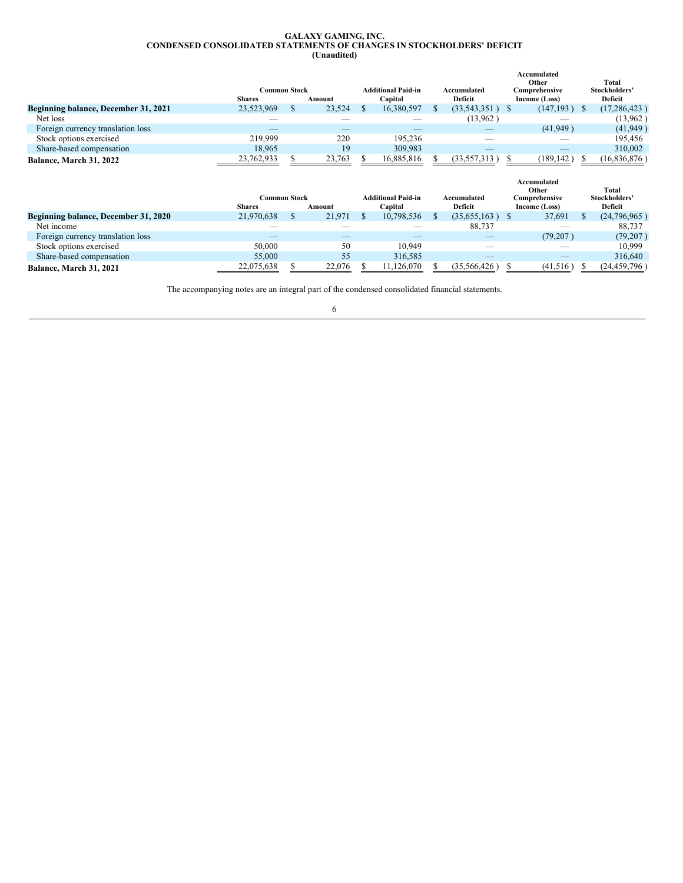#### **GALAXY GAMING, INC. CONDENSED CONSOLIDATED STATEMENTS OF CHANGES IN STOCKHOLDERS' DEFICIT (Unaudited)**

<span id="page-5-0"></span>

|                                      | Common Stock-            |  |        | <b>Additional Paid-in</b><br>Accumulated |            |  |                                | Accumulated<br>Other<br>Comprehensive |               |  | Total<br>Stockholders' |
|--------------------------------------|--------------------------|--|--------|------------------------------------------|------------|--|--------------------------------|---------------------------------------|---------------|--|------------------------|
|                                      | <b>Shares</b>            |  | Amount |                                          | Capital    |  | <b>Deficit</b>                 |                                       | Income (Loss) |  | Deficit                |
| Beginning balance, December 31, 2021 | 23,523,969               |  | 23,524 |                                          | 16,380,597 |  | (33, 543, 351)                 |                                       | (147, 193)    |  | (17, 286, 423)         |
| Net loss                             |                          |  |        |                                          |            |  | (13,962)                       |                                       |               |  | (13,962)               |
| Foreign currency translation loss    | $\overline{\phantom{a}}$ |  | _      |                                          |            |  | $\overbrace{\hspace{25mm}}^{}$ |                                       | (41, 949)     |  | (41, 949)              |
| Stock options exercised              | 219,999                  |  | 220    |                                          | 195.236    |  | _                              |                                       | _             |  | 195.456                |
| Share-based compensation             | 18,965                   |  | 19     |                                          | 309.983    |  | _                              |                                       | __            |  | 310,002                |
| Balance, March 31, 2022              | 23,762,933               |  | 23,763 |                                          | 16.885.816 |  | (33, 557, 313)                 |                                       | (189, 142)    |  | (16,836,876)           |

|                                      |                               |                          |                                      |                        | Accumulated                             |                                   |
|--------------------------------------|-------------------------------|--------------------------|--------------------------------------|------------------------|-----------------------------------------|-----------------------------------|
|                                      | Common Stock<br><b>Shares</b> | Amount                   | <b>Additional Paid-in</b><br>Capital | Accumulated<br>Deficit | Other<br>Comprehensive<br>Income (Loss) | Total<br>Stockholders'<br>Deficit |
| Beginning balance, December 31, 2020 | 21,970,638                    | 21.971                   | 10,798,536                           | (35,655,163)           | 37,691                                  | (24,796,965)                      |
| Net income                           | $\overline{\phantom{a}}$      | $\sim$                   |                                      | 88,737                 | $\overline{\phantom{a}}$                | 88,737                            |
| Foreign currency translation loss    | $\overline{\phantom{a}}$      | $\overline{\phantom{a}}$ |                                      |                        | (79, 207)                               | (79,207)                          |
| Stock options exercised              | 50,000                        | 50                       | 10.949                               |                        |                                         | 10.999                            |
| Share-based compensation             | 55,000                        | 55                       | 316,585                              |                        |                                         | 316,640                           |
| Balance, March 31, 2021              | 22,075,638                    | 22,076                   | 11.126.070                           | (35.566.426)           | (41,516)                                | (24, 459, 796)                    |

The accompanying notes are an integral part of the condensed consolidated financial statements.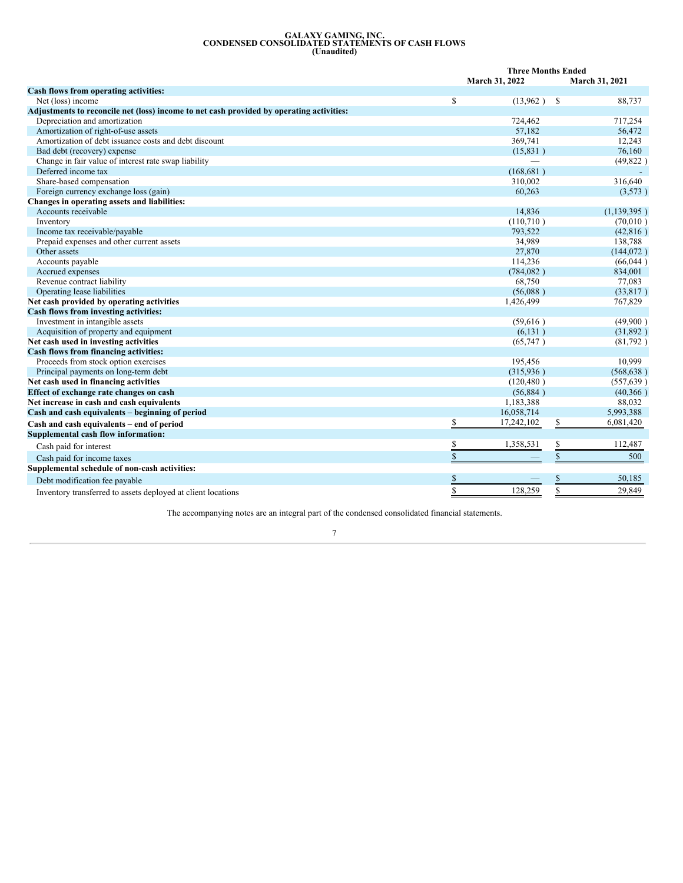# **GALAXY GAMING, INC. CONDENSED CONSOLIDATED STATEMENTS OF CASH FLOWS (Unaudited)**

<span id="page-6-0"></span>

|                                                                                          | <b>Three Months Ended</b> |                |    |                |
|------------------------------------------------------------------------------------------|---------------------------|----------------|----|----------------|
|                                                                                          |                           | March 31, 2022 |    | March 31, 2021 |
| Cash flows from operating activities:                                                    |                           |                |    |                |
| Net (loss) income                                                                        | \$                        | $(13,962)$ \$  |    | 88,737         |
| Adjustments to reconcile net (loss) income to net cash provided by operating activities: |                           |                |    |                |
| Depreciation and amortization                                                            |                           | 724,462        |    | 717,254        |
| Amortization of right-of-use assets                                                      |                           | 57,182         |    | 56,472         |
| Amortization of debt issuance costs and debt discount                                    |                           | 369,741        |    | 12,243         |
| Bad debt (recovery) expense                                                              |                           | (15, 831)      |    | 76,160         |
| Change in fair value of interest rate swap liability                                     |                           |                |    | (49, 822)      |
| Deferred income tax                                                                      |                           | (168, 681)     |    |                |
| Share-based compensation                                                                 |                           | 310,002        |    | 316,640        |
| Foreign currency exchange loss (gain)                                                    |                           | 60,263         |    | (3,573)        |
| Changes in operating assets and liabilities:                                             |                           |                |    |                |
| Accounts receivable                                                                      |                           | 14.836         |    | (1,139,395)    |
| Inventory                                                                                |                           | (110,710)      |    | (70,010)       |
| Income tax receivable/payable                                                            |                           | 793,522        |    | (42,816)       |
| Prepaid expenses and other current assets                                                |                           | 34,989         |    | 138,788        |
| Other assets                                                                             |                           | 27,870         |    | (144, 072)     |
| Accounts payable                                                                         |                           | 114,236        |    | (66, 044)      |
| Accrued expenses                                                                         |                           | (784, 082)     |    | 834,001        |
| Revenue contract liability                                                               |                           | 68,750         |    | 77,083         |
| Operating lease liabilities                                                              |                           | (56,088)       |    | (33,817)       |
| Net cash provided by operating activities                                                |                           | 1,426,499      |    | 767,829        |
| Cash flows from investing activities:                                                    |                           |                |    |                |
| Investment in intangible assets                                                          |                           | (59,616)       |    | (49,900)       |
| Acquisition of property and equipment                                                    |                           | (6, 131)       |    | (31,892)       |
| Net cash used in investing activities                                                    |                           | (65, 747)      |    | (81,792)       |
| Cash flows from financing activities:                                                    |                           |                |    |                |
| Proceeds from stock option exercises                                                     |                           | 195,456        |    | 10,999         |
| Principal payments on long-term debt                                                     |                           | (315,936)      |    | (568, 638)     |
| Net cash used in financing activities                                                    |                           | (120, 480)     |    | (557, 639)     |
| Effect of exchange rate changes on cash                                                  |                           | (56,884)       |    | (40, 366)      |
| Net increase in cash and cash equivalents                                                |                           | 1,183,388      |    | 88,032         |
| Cash and cash equivalents - beginning of period                                          |                           | 16,058,714     |    | 5,993,388      |
| Cash and cash equivalents - end of period                                                | \$                        | 17,242,102     | \$ | 6,081,420      |
| Supplemental cash flow information:                                                      |                           |                |    |                |
| Cash paid for interest                                                                   | \$                        | 1,358,531      | \$ | 112,487        |
| Cash paid for income taxes                                                               | $\mathbb{S}$              |                | \$ | 500            |
| Supplemental schedule of non-cash activities:                                            |                           |                |    |                |
| Debt modification fee payable                                                            | \$                        |                | \$ | 50,185         |
| Inventory transferred to assets deployed at client locations                             | $\overline{\mathbb{S}}$   | 128,259        | \$ | 29,849         |

The accompanying notes are an integral part of the condensed consolidated financial statements.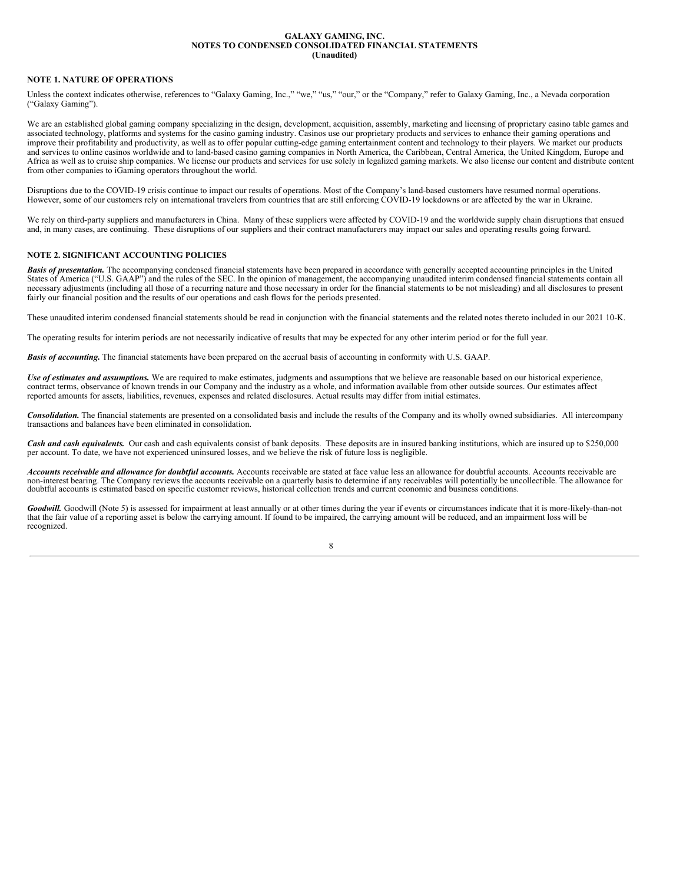#### **GALAXY GAMING, INC. NOTES TO CONDENSED CONSOLIDATED FINANCIAL STATEMENTS (Unaudited)**

## <span id="page-7-0"></span>**NOTE 1. NATURE OF OPERATIONS**

Unless the context indicates otherwise, references to "Galaxy Gaming, Inc.," "we," "us," "our," or the "Company," refer to Galaxy Gaming, Inc., a Nevada corporation ("Galaxy Gaming").

We are an established global gaming company specializing in the design, development, acquisition, assembly, marketing and licensing of proprietary casino table games and associated technology, platforms and systems for the casino gaming industry. Casinos use our proprietary products and services to enhance their gaming operations and improve their profitability and productivity, as well as to offer popular cutting-edge gaming entertainment content and technology to their players. We market our products and services to online casinos worldwide and to land-based casino gaming companies in North America, the Caribbean, Central America, the United Kingdom, Europe and Africa as well as to cruise ship companies. We license our products and services for use solely in legalized gaming markets. We also license our content and distribute content from other companies to iGaming operators throughout the world.

Disruptions due to the COVID-19 crisis continue to impact our results of operations. Most of the Company's land-based customers have resumed normal operations. However, some of our customers rely on international travelers from countries that are still enforcing COVID-19 lockdowns or are affected by the war in Ukraine.

We rely on third-party suppliers and manufacturers in China. Many of these suppliers were affected by COVID-19 and the worldwide supply chain disruptions that ensued and, in many cases, are continuing. These disruptions of our suppliers and their contract manufacturers may impact our sales and operating results going forward.

#### **NOTE 2. SIGNIFICANT ACCOUNTING POLICIES**

*Basis of presentation.* The accompanying condensed financial statements have been prepared in accordance with generally accepted accounting principles in the United States of America ("U.S. GAAP") and the rules of the SEC. In the opinion of management, the accompanying unaudited interim condensed financial statements contain all necessary adjustments (including all those of a recurring nature and those necessary in order for the financial statements to be not misleading) and all disclosures to present fairly our financial position and the results of our operations and cash flows for the periods presented.

These unaudited interim condensed financial statements should be read in conjunction with the financial statements and the related notes thereto included in our 2021 10-K.

The operating results for interim periods are not necessarily indicative of results that may be expected for any other interim period or for the full year.

*Basis of accounting.* The financial statements have been prepared on the accrual basis of accounting in conformity with U.S. GAAP.

*Use of estimates and assumptions.* We are required to make estimates, judgments and assumptions that we believe are reasonable based on our historical experience, contract terms, observance of known trends in our Company and the industry as a whole, and information available from other outside sources. Our estimates affect reported amounts for assets, liabilities, revenues, expenses and related disclosures. Actual results may differ from initial estimates.

*Consolidation.* The financial statements are presented on a consolidated basis and include the results of the Company and its wholly owned subsidiaries. All intercompany transactions and balances have been eliminated in consolidation.

*Cash and cash equivalents.* Our cash and cash equivalents consist of bank deposits. These deposits are in insured banking institutions, which are insured up to \$250,000 per account. To date, we have not experienced uninsured losses, and we believe the risk of future loss is negligible.

*Accounts receivable and allowance for doubtful accounts.* Accounts receivable are stated at face value less an allowance for doubtful accounts. Accounts receivable are non-interest bearing. The Company reviews the accounts receivable on a quarterly basis to determine if any receivables will potentially be uncollectible. The allowance for doubtful accounts is estimated based on specific customer reviews, historical collection trends and current economic and business conditions.

Goodwill. Goodwill (Note 5) is assessed for impairment at least annually or at other times during the year if events or circumstances indicate that it is more-likely-than-not that the fair value of a reporting asset is below the carrying amount. If found to be impaired, the carrying amount will be reduced, and an impairment loss will be recognized.

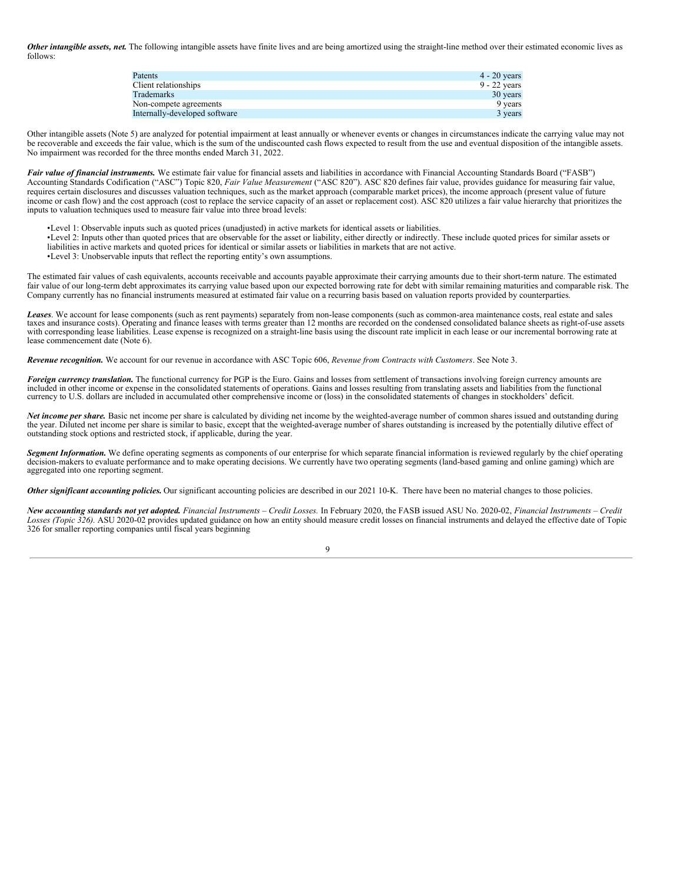*Other intangible assets, net.* The following intangible assets have finite lives and are being amortized using the straight-line method over their estimated economic lives as follows:

| Patents                       | $4 - 20$ years |
|-------------------------------|----------------|
| Client relationships          | $9 - 22$ years |
| Trademarks                    | 30 years       |
| Non-compete agreements        | 9 years        |
| Internally-developed software | 3 years        |

Other intangible assets (Note 5) are analyzed for potential impairment at least annually or whenever events or changes in circumstances indicate the carrying value may not be recoverable and exceeds the fair value, which is the sum of the undiscounted cash flows expected to result from the use and eventual disposition of the intangible assets. No impairment was recorded for the three months ended March 31, 2022.

Fair value of *financial instruments*. We estimate fair value for financial assets and liabilities in accordance with Financial Accounting Standards Board ("FASB") Accounting Standards Codification ("ASC") Topic 820, *Fair Value Measurement* ("ASC 820"). ASC 820 defines fair value, provides guidance for measuring fair value, requires certain disclosures and discusses valuation techniques, such as the market approach (comparable market prices), the income approach (present value of future income or cash flow) and the cost approach (cost to replace the service capacity of an asset or replacement cost). ASC 820 utilizes a fair value hierarchy that prioritizes the inputs to valuation techniques used to measure fair value into three broad levels:

- •Level 1: Observable inputs such as quoted prices (unadjusted) in active markets for identical assets or liabilities.
- •Level 2: Inputs other than quoted prices that are observable for the asset or liability, either directly or indirectly. These include quoted prices for similar assets or liabilities in active markets and quoted prices for identical or similar assets or liabilities in markets that are not active.
- •Level 3: Unobservable inputs that reflect the reporting entity's own assumptions.

The estimated fair values of cash equivalents, accounts receivable and accounts payable approximate their carrying amounts due to their short-term nature. The estimated fair value of our long-term debt approximates its carrying value based upon our expected borrowing rate for debt with similar remaining maturities and comparable risk. The Company currently has no financial instruments measured at estimated fair value on a recurring basis based on valuation reports provided by counterparties.

*Leases*. We account for lease components (such as rent payments) separately from non-lease components (such as common-area maintenance costs, real estate and sales taxes and insurance costs). Operating and finance leases with terms greater than 12 months are recorded on the condensed consolidated balance sheets as right-of-use assets with corresponding lease liabilities. Lease expense is recognized on a straight-line basis using the discount rate implicit in each lease or our incremental borrowing rate at lease commencement date (Note 6).

*Revenue recognition.* We account for our revenue in accordance with ASC Topic 606, *Revenue from Contracts with Customers*. See Note 3.

*Foreign currency translation.* The functional currency for PGP is the Euro. Gains and losses from settlement of transactions involving foreign currency amounts are included in other income or expense in the consolidated statements of operations. Gains and losses resulting from translating assets and liabilities from the functional currency to U.S. dollars are included in accumulated other comprehensive income or (loss) in the consolidated statements of changes in stockholders' deficit.

*Net income per share.* Basic net income per share is calculated by dividing net income by the weighted-average number of common shares issued and outstanding during the year. Diluted net income per share is similar to basic, except that the weighted-average number of shares outstanding is increased by the potentially dilutive effect of outstanding stock options and restricted stock, if applicable, during the year.

*Segment Information.* We define operating segments as components of our enterprise for which separate financial information is reviewed regularly by the chief operating decision-makers to evaluate performance and to make operating decisions. We currently have two operating segments (land-based gaming and online gaming) which are aggregated into one reporting segment.

*Other significant accounting policies.* Our significant accounting policies are described in our 2021 10-K. There have been no material changes to those policies.

New accounting standards not yet adopted. Financial Instruments - Credit Losses. In February 2020, the FASB issued ASU No. 2020-02, Financial Instruments - Credit *Losses (Topic 326).* ASU 2020-02 provides updated guidance on how an entity should measure credit losses on financial instruments and delayed the effective date of Topic 326 for smaller reporting companies until fiscal years beginning

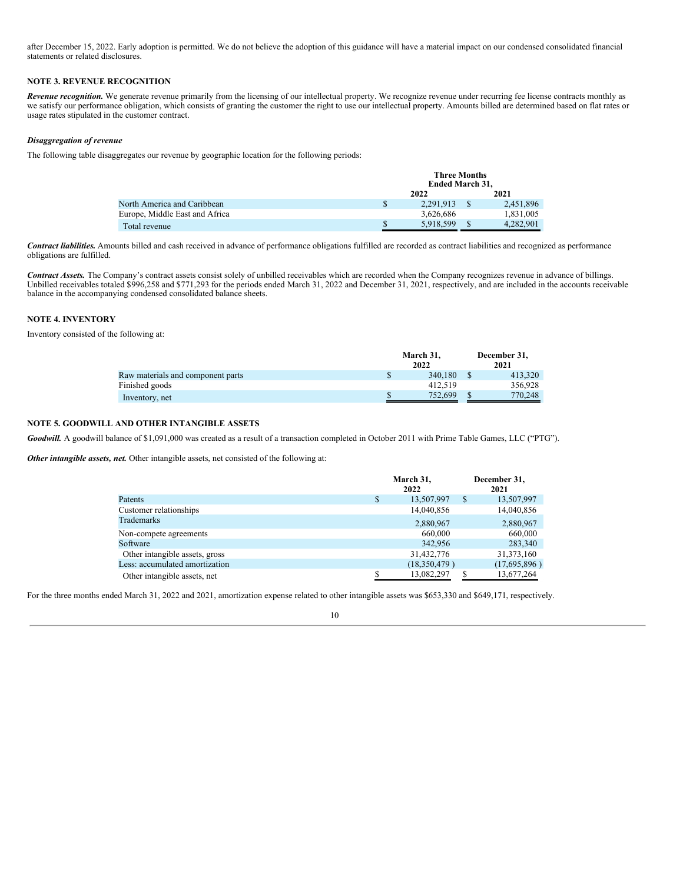after December 15, 2022. Early adoption is permitted. We do not believe the adoption of this guidance will have a material impact on our condensed consolidated financial statements or related disclosures.

#### **NOTE 3. REVENUE RECOGNITION**

Revenue recognition. We generate revenue primarily from the licensing of our intellectual property. We recognize revenue under recurring fee license contracts monthly as we satisfy our performance obligation, which consists of granting the customer the right to use our intellectual property. Amounts billed are determined based on flat rates or usage rates stipulated in the customer contract.

#### *Disaggregation of revenue*

The following table disaggregates our revenue by geographic location for the following periods:

|                                | <b>Three Months</b><br>Ended March 31, |  |           |  |  |  |
|--------------------------------|----------------------------------------|--|-----------|--|--|--|
|                                | 2022                                   |  | 2021      |  |  |  |
| North America and Caribbean    | 2.291.913                              |  | 2,451,896 |  |  |  |
| Europe, Middle East and Africa | 3.626.686                              |  | 1,831,005 |  |  |  |
| Total revenue                  | 5.918.599                              |  | 4,282,901 |  |  |  |

*Contract liabilities.* Amounts billed and cash received in advance of performance obligations fulfilled are recorded as contract liabilities and recognized as performance obligations are fulfilled.

*Contract Assets.* The Company's contract assets consist solely of unbilled receivables which are recorded when the Company recognizes revenue in advance of billings. Unbilled receivables totaled \$996,258 and \$771,293 for the periods ended March 31, 2022 and December 31, 2021, respectively, and are included in the accounts receivable balance in the accompanying condensed consolidated balance sheets.

# **NOTE 4. INVENTORY**

Inventory consisted of the following at:

|                                   | March 31. | December 31, |
|-----------------------------------|-----------|--------------|
|                                   | 2022      | 2021         |
| Raw materials and component parts | 340.180   | 413.320      |
| Finished goods                    | 412.519   | 356,928      |
| Inventory, net                    | 752,699   | 770,248      |

#### **NOTE 5. GOODWILL AND OTHER INTANGIBLE ASSETS**

*Goodwill.* A goodwill balance of \$1,091,000 was created as a result of a transaction completed in October 2011 with Prime Table Games, LLC ("PTG").

*Other intangible assets, net.* Other intangible assets, net consisted of the following at:

|                                | March 31,<br>2022 |   | December 31,<br>2021 |
|--------------------------------|-------------------|---|----------------------|
| Patents                        | \$<br>13,507,997  | S | 13,507,997           |
| Customer relationships         | 14,040,856        |   | 14,040,856           |
| <b>Trademarks</b>              | 2,880,967         |   | 2,880,967            |
| Non-compete agreements         | 660,000           |   | 660,000              |
| Software                       | 342,956           |   | 283,340              |
| Other intangible assets, gross | 31,432,776        |   | 31, 373, 160         |
| Less: accumulated amortization | (18,350,479)      |   | (17,695,896)         |
| Other intangible assets, net   | 13,082,297        |   | 13,677,264           |

For the three months ended March 31, 2022 and 2021, amortization expense related to other intangible assets was \$653,330 and \$649,171, respectively.

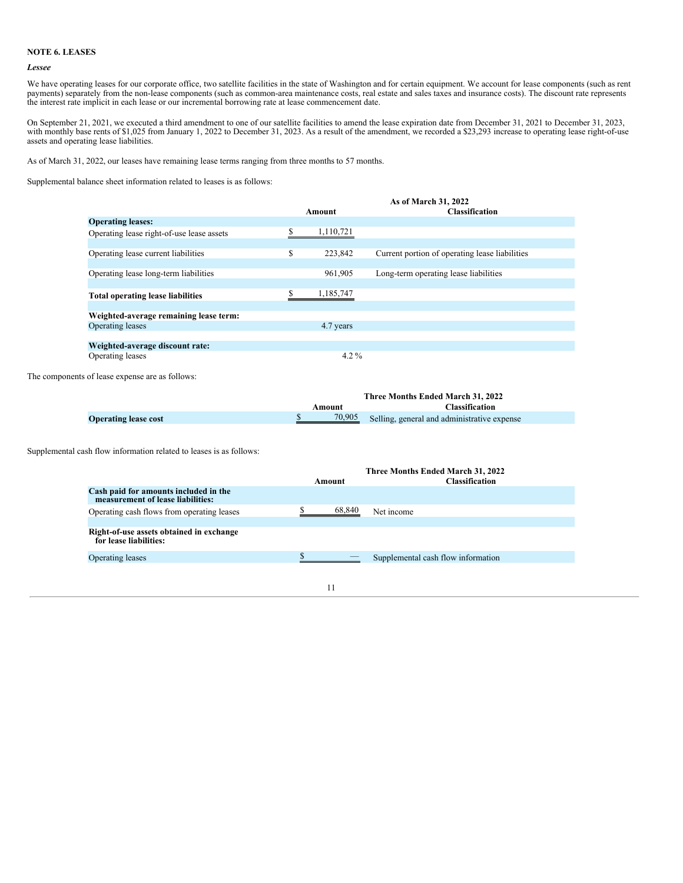#### **NOTE 6. LEASES**

#### *Lessee*

We have operating leases for our corporate office, two satellite facilities in the state of Washington and for certain equipment. We account for lease components (such as rent payments) separately from the non-lease components (such as common-area maintenance costs, real estate and sales taxes and insurance costs). The discount rate represents the interest rate implicit in each lease or our incremental borrowing rate at lease commencement date.

On September 21, 2021, we executed a third amendment to one of our satellite facilities to amend the lease expiration date from December 31, 2021 to December 31, 2023, with monthly base rents of \$1,025 from January 1, 2022 to December 31, 2023. As a result of the amendment, we recorded a \$23,293 increase to operating lease right-of-use assets and operating lease liabilities.

As of March 31, 2022, our leases have remaining lease terms ranging from three months to 57 months.

Supplemental balance sheet information related to leases is as follows:

|               | As of March 31, 2022<br><b>Classification</b>  |
|---------------|------------------------------------------------|
|               |                                                |
| 1,110,721     |                                                |
|               |                                                |
| \$<br>223,842 | Current portion of operating lease liabilities |
|               |                                                |
| 961,905       | Long-term operating lease liabilities          |
|               |                                                |
| 1,185,747     |                                                |
|               |                                                |
|               |                                                |
| 4.7 years     |                                                |
|               |                                                |
|               |                                                |
| $4.2\%$       |                                                |
|               | Amount                                         |

The components of lease expense are as follows:

|                             | Three Months Ended March 31, 2022 |  |                                                    |  |  |
|-----------------------------|-----------------------------------|--|----------------------------------------------------|--|--|
|                             | Amount                            |  | <b>Classification</b>                              |  |  |
| <b>Operating lease cost</b> |                                   |  | 70,905 Selling, general and administrative expense |  |  |

Supplemental cash flow information related to leases is as follows:

|                                                                            | Three Months Ended March 31, 2022 |        |                                    |  |  |  |
|----------------------------------------------------------------------------|-----------------------------------|--------|------------------------------------|--|--|--|
|                                                                            | Amount                            |        | <b>Classification</b>              |  |  |  |
| Cash paid for amounts included in the<br>measurement of lease liabilities: |                                   |        |                                    |  |  |  |
| Operating cash flows from operating leases                                 |                                   | 68,840 | Net income                         |  |  |  |
| Right-of-use assets obtained in exchange<br>for lease liabilities:         |                                   |        |                                    |  |  |  |
| Operating leases                                                           |                                   |        | Supplemental cash flow information |  |  |  |
|                                                                            |                                   |        |                                    |  |  |  |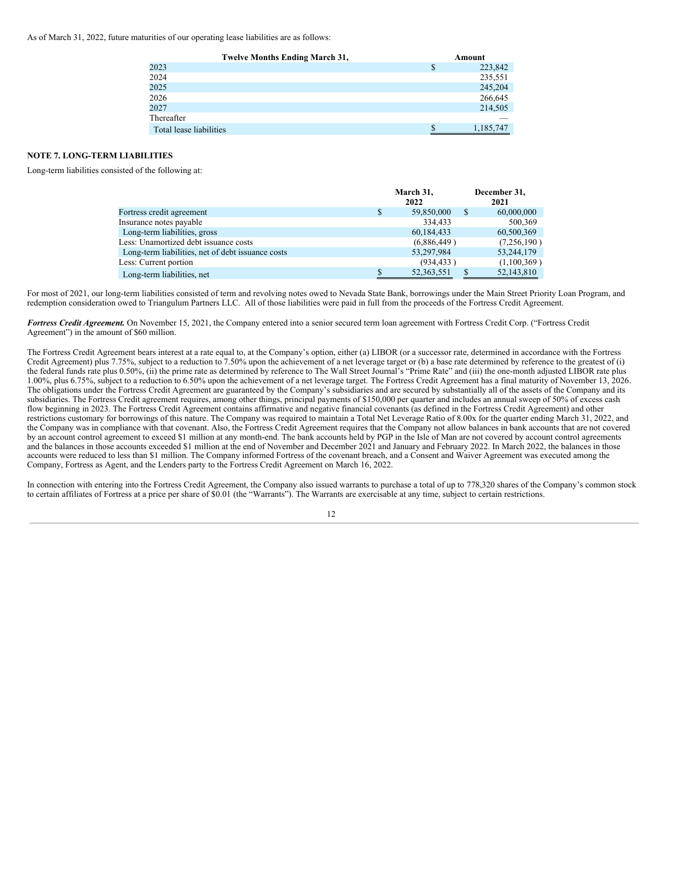As of March 31, 2022, future maturities of our operating lease liabilities are as follows:

| <b>Twelve Months Ending March 31,</b> | Amount        |
|---------------------------------------|---------------|
| 2023                                  | \$<br>223,842 |
| 2024                                  | 235,551       |
| 2025                                  | 245,204       |
| 2026                                  | 266,645       |
| 2027                                  | 214,505       |
| Thereafter                            |               |
| Total lease liabilities               | 1,185,747     |

## **NOTE 7. LONG-TERM LIABILITIES**

Long-term liabilities consisted of the following at:

|                                                   |   | March 31,<br>2022 |  | December 31,<br>2021 |
|---------------------------------------------------|---|-------------------|--|----------------------|
| Fortress credit agreement                         | S | 59,850,000        |  | 60,000,000           |
| Insurance notes payable                           |   | 334,433           |  | 500,369              |
| Long-term liabilities, gross                      |   | 60,184,433        |  | 60,500,369           |
| Less: Unamortized debt issuance costs             |   | (6,886,449)       |  | (7,256,190)          |
| Long-term liabilities, net of debt issuance costs |   | 53,297,984        |  | 53,244,179           |
| Less: Current portion                             |   | (934, 433)        |  | (1,100,369)          |
| Long-term liabilities, net                        | S | 52, 363, 551      |  | 52,143,810           |

For most of 2021, our long-term liabilities consisted of term and revolving notes owed to Nevada State Bank, borrowings under the Main Street Priority Loan Program, and redemption consideration owed to Triangulum Partners LLC. All of those liabilities were paid in full from the proceeds of the Fortress Credit Agreement.

*Fortress Credit Agreement.* On November 15, 2021, the Company entered into a senior secured term loan agreement with Fortress Credit Corp. ("Fortress Credit Agreement") in the amount of \$60 million.

The Fortress Credit Agreement bears interest at a rate equal to, at the Company's option, either (a) LIBOR (or a successor rate, determined in accordance with the Fortress Credit Agreement) plus 7.75%, subject to a reduction to 7.50% upon the achievement of a net leverage target or (b) a base rate determined by reference to the greatest of (i) the federal funds rate plus 0.50%, (ii) the prime rate as determined by reference to The Wall Street Journal's "Prime Rate" and (iii) the one-month adjusted LIBOR rate plus 1.00%, plus 6.75%, subject to a reduction to 6.50% upon the achievement of a net leverage target. The Fortress Credit Agreement has a final maturity of November 13, 2026. The obligations under the Fortress Credit Agreement are guaranteed by the Company's subsidiaries and are secured by substantially all of the assets of the Company and its subsidiaries. The Fortress Credit agreement requires, among other things, principal payments of \$150,000 per quarter and includes an annual sweep of 50% of excess cash flow beginning in 2023. The Fortress Credit Agreement contains affirmative and negative financial covenants (as defined in the Fortress Credit Agreement) and other restrictions customary for borrowings of this nature. The Company was required to maintain a Total Net Leverage Ratio of 8.00x for the quarter ending March 31, 2022, and the Company was in compliance with that covenant. Also, the Fortress Credit Agreement requires that the Company not allow balances in bank accounts that are not covered by an account control agreement to exceed \$1 million at any month-end. The bank accounts held by PGP in the Isle of Man are not covered by account control agreements and the balances in those accounts exceeded \$1 million at the end of November and December 2021 and January and February 2022. In March 2022, the balances in those accounts were reduced to less than \$1 million. The Company informed Fortress of the covenant breach, and a Consent and Waiver Agreement was executed among the Company, Fortress as Agent, and the Lenders party to the Fortress Credit Agreement on March 16, 2022.

In connection with entering into the Fortress Credit Agreement, the Company also issued warrants to purchase a total of up to 778,320 shares of the Company's common stock to certain affiliates of Fortress at a price per share of \$0.01 (the "Warrants"). The Warrants are exercisable at any time, subject to certain restrictions.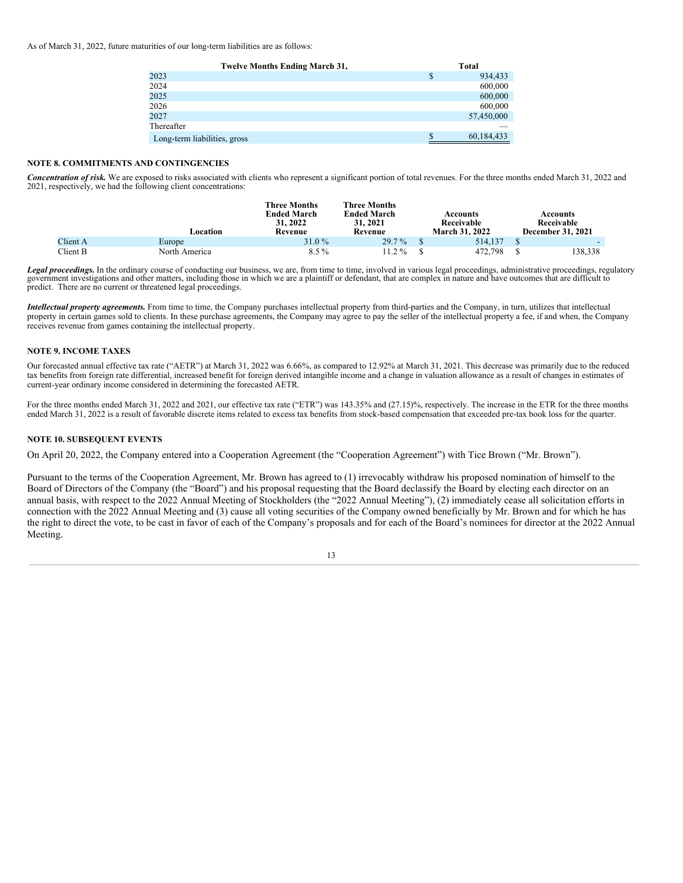As of March 31, 2022, future maturities of our long-term liabilities are as follows:

| <b>Twelve Months Ending March 31,</b> | Total |            |  |  |
|---------------------------------------|-------|------------|--|--|
| 2023                                  | \$    | 934,433    |  |  |
| 2024                                  |       | 600,000    |  |  |
| 2025                                  |       | 600,000    |  |  |
| 2026                                  |       | 600,000    |  |  |
| 2027                                  |       | 57,450,000 |  |  |
| Thereafter                            |       |            |  |  |
| Long-term liabilities, gross          |       | 60,184,433 |  |  |

## **NOTE 8. COMMITMENTS AND CONTINGENCIES**

**Concentration of risk.** We are exposed to risks associated with clients who represent a significant portion of total revenues. For the three months ended March 31, 2022 and 2021, respectively, we had the following client

|          | Location      | <b>Three Months</b><br><b>Ended March</b><br>31, 2022<br>Revenue | <b>Three Months</b><br><b>Ended March</b><br>31, 2021<br>Revenue | Accounts<br>Receivable<br>March 31, 2022 | Accounts<br>Receivable<br><b>December 31. 2021</b> |
|----------|---------------|------------------------------------------------------------------|------------------------------------------------------------------|------------------------------------------|----------------------------------------------------|
| Client A | Europe        | 31.0 %                                                           | $29.7\%$                                                         | 514.137                                  |                                                    |
| Client B | North America | $8.5\%$                                                          | 11.2 %                                                           | 472.798                                  | 38.338                                             |

Legal proceedings. In the ordinary course of conducting our business, we are, from time to time, involved in various legal proceedings, administrative proceedings, regulatory government investigations and other matters, including those in which we are a plaintiff or defendant, that are complex in nature and have outcomes that are difficult to predict. There are no current or threatened legal proceedings.

*Intellectual property agreements.* From time to time, the Company purchases intellectual property from third-parties and the Company, in turn, utilizes that intellectual property in certain games sold to clients. In these purchase agreements, the Company may agree to pay the seller of the intellectual property a fee, if and when, the Company receives revenue from games containing the intellectual property.

#### **NOTE 9. INCOME TAXES**

Our forecasted annual effective tax rate ("AETR") at March 31, 2022 was 6.66%, as compared to 12.92% at March 31, 2021. This decrease was primarily due to the reduced tax benefits from foreign rate differential, increased benefit for foreign derived intangible income and a change in valuation allowance as a result of changes in estimates of current-year ordinary income considered in determining the forecasted AETR.

For the three months ended March 31, 2022 and 2021, our effective tax rate ("ETR") was 143.35% and (27.15)%, respectively. The increase in the ETR for the three months ended March 31, 2022 is a result of favorable discrete items related to excess tax benefits from stock-based compensation that exceeded pre-tax book loss for the quarter.

# **NOTE 10. SUBSEQUENT EVENTS**

On April 20, 2022, the Company entered into a Cooperation Agreement (the "Cooperation Agreement") with Tice Brown ("Mr. Brown").

Pursuant to the terms of the Cooperation Agreement, Mr. Brown has agreed to (1) irrevocably withdraw his proposed nomination of himself to the Board of Directors of the Company (the "Board") and his proposal requesting that the Board declassify the Board by electing each director on an annual basis, with respect to the 2022 Annual Meeting of Stockholders (the "2022 Annual Meeting"), (2) immediately cease all solicitation efforts in connection with the 2022 Annual Meeting and (3) cause all voting securities of the Company owned beneficially by Mr. Brown and for which he has the right to direct the vote, to be cast in favor of each of the Company's proposals and for each of the Board's nominees for director at the 2022 Annual Meeting.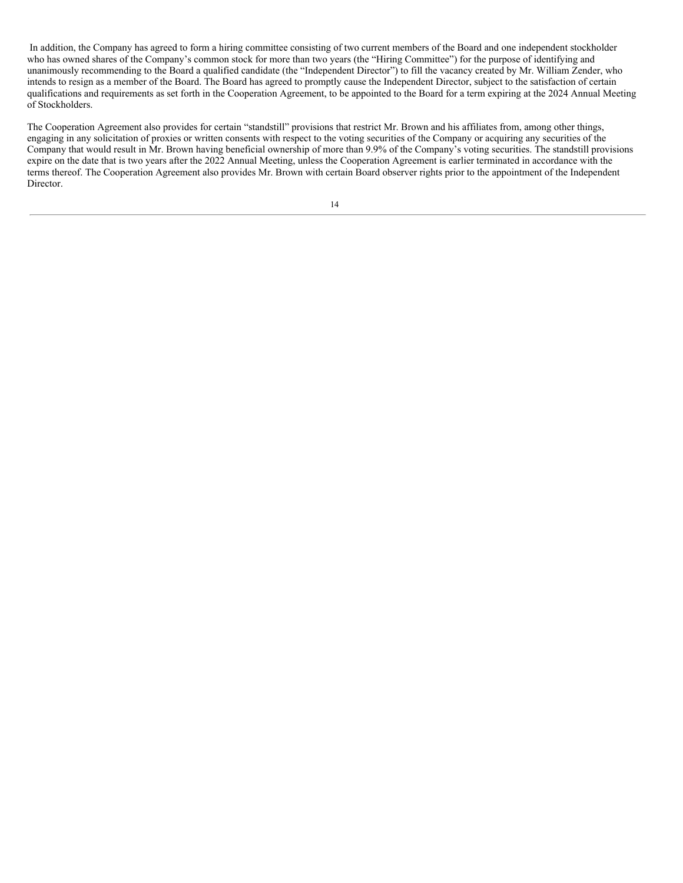In addition, the Company has agreed to form a hiring committee consisting of two current members of the Board and one independent stockholder who has owned shares of the Company's common stock for more than two years (the "Hiring Committee") for the purpose of identifying and unanimously recommending to the Board a qualified candidate (the "Independent Director") to fill the vacancy created by Mr. William Zender, who intends to resign as a member of the Board. The Board has agreed to promptly cause the Independent Director, subject to the satisfaction of certain qualifications and requirements as set forth in the Cooperation Agreement, to be appointed to the Board for a term expiring at the 2024 Annual Meeting of Stockholders.

The Cooperation Agreement also provides for certain "standstill" provisions that restrict Mr. Brown and his affiliates from, among other things, engaging in any solicitation of proxies or written consents with respect to the voting securities of the Company or acquiring any securities of the Company that would result in Mr. Brown having beneficial ownership of more than 9.9% of the Company's voting securities. The standstill provisions expire on the date that is two years after the 2022 Annual Meeting, unless the Cooperation Agreement is earlier terminated in accordance with the terms thereof. The Cooperation Agreement also provides Mr. Brown with certain Board observer rights prior to the appointment of the Independent Director.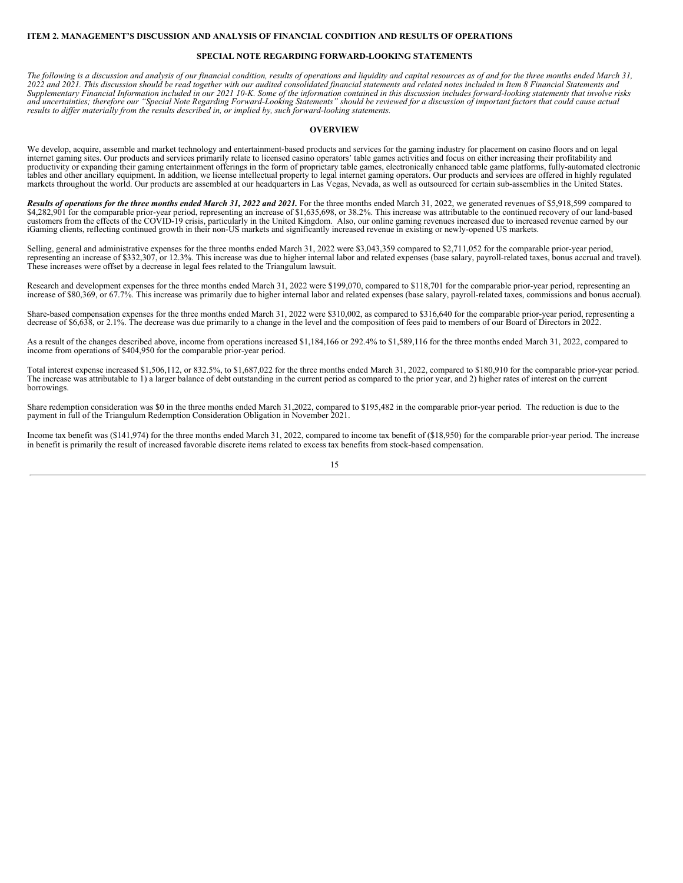#### <span id="page-14-0"></span>**ITEM 2. MANAGEMENT'S DISCUSSION AND ANALYSIS OF FINANCIAL CONDITION AND RESULTS OF OPERATIONS**

#### **SPECIAL NOTE REGARDING FORWARD-LOOKING STATEMENTS**

The following is a discussion and analysis of our financial condition, results of operations and liquidity and capital resources as of and for the three months ended March 31,<br>2022 and 2021. This discussion should be read Supplementary Financial Information included in our 2021 10-K. Some of the information contained in this discussion includes forward-looking statements that involve risks and uncertainties; therefore our "Special Note Regarding Forward-Looking Statements" should be reviewed for a discussion of important factors that could cause actual *results to dif er materially from the results described in, or implied by, such forward-looking statements.*

#### **OVERVIEW**

We develop, acquire, assemble and market technology and entertainment-based products and services for the gaming industry for placement on casino floors and on legal<br>internet gaming sites. Our products and services primari productivity or expanding their gaming entertainment offerings in the form of proprietary table games, electronically enhanced table game platforms, fully-automated electronic tables and other ancillary equipment. In addition, we license intellectual property to legal internet gaming operators. Our products and services are offered in highly regulated markets throughout the world. Our products are assembled at our headquarters in Las Vegas, Nevada, as well as outsourced for certain sub-assemblies in the United States.

Results of operations for the three months ended March 31, 2022 and 2021. For the three months ended March 31, 2022, we generated revenues of \$5,918,599 compared to \$4,282,901 for the comparable prior-year period, representing an increase of \$1,635,698, or 38.2%. This increase was attributable to the continued recovery of our land-based customers from the effects of the COVID-19 crisis, particularly in the United Kingdom. Also, our online gaming revenues increased due to increased revenue earned by our iGaming clients, reflecting continued growth in their non-US markets and significantly increased revenue in existing or newly-opened US markets.

Selling, general and administrative expenses for the three months ended March 31, 2022 were \$3,043,359 compared to \$2,711,052 for the comparable prior-year period, representing an increase of \$332,307, or 12.3%. This increase was due to higher internal labor and related expenses (base salary, payroll-related taxes, bonus accrual and travel). These increases were offset by a decrease in legal fees related to the Triangulum lawsuit.

Research and development expenses for the three months ended March 31, 2022 were \$199,070, compared to \$118,701 for the comparable prior-year period, representing an increase of \$80,369, or 67.7%. This increase was primarily due to higher internal labor and related expenses (base salary, payroll-related taxes, commissions and bonus accrual).

Share-based compensation expenses for the three months ended March 31, 2022 were \$310,002, as compared to \$316,640 for the comparable prior-year period, representing a decrease of \$6,638, or 2.1%. The decrease was due prim

As a result of the changes described above, income from operations increased \$1,184,166 or 292.4% to \$1,589,116 for the three months ended March 31, 2022, compared to income from operations of \$404,950 for the comparable prior-year period.

Total interest expense increased \$1,506,112, or 832.5%, to \$1,687,022 for the three months ended March 31, 2022, compared to \$180,910 for the comparable prior-year period. The increase was attributable to 1) a larger balance of debt outstanding in the current period as compared to the prior year, and 2) higher rates of interest on the current borrowings.

Share redemption consideration was \$0 in the three months ended March 31,2022, compared to \$195,482 in the comparable prior-year period. The reduction is due to the payment in full of the Triangulum Redemption Consideration Obligation in November 2021.

Income tax benefit was (\$141,974) for the three months ended March 31, 2022, compared to income tax benefit of (\$18,950) for the comparable prior-year period. The increase in benefit is primarily the result of increased favorable discrete items related to excess tax benefits from stock-based compensation.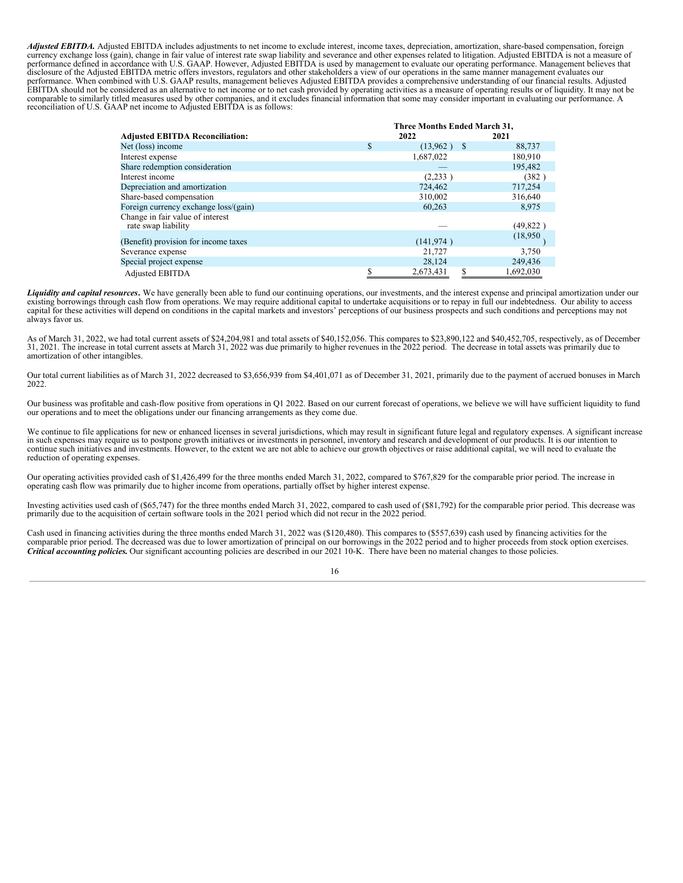*Adjusted EBITDA.* Adjusted EBITDA includes adjustments to net income to exclude interest, income taxes, depreciation, amortization, share-based compensation, foreign currency exchange loss (gain), change in fair value of interest rate swap liability and severance and other expenses related to litigation. Adjusted EBITDA is not a measure of performance defined in accordance with U.S. GAAP. However, Adjusted EBITDA is used by management to evaluate our operating performance. Management believes that disclosure of the Adjusted EBITDA metric offers investors, regulators and other stakeholders a view of our operations in the same manner management evaluates our<br>performance. When combined with U.S. GAAP results, managemen EBITDA should not be considered as an alternative to net income or to net cash provided by operating activities as a measure of operating results or of liquidity. It may not be comparable to similarly titled measures used reconciliation of U.S. GAAP net income to Adjusted EBITDA is as follows:

|                                                         |   | Three Months Ended March 31, |           |  |  |  |
|---------------------------------------------------------|---|------------------------------|-----------|--|--|--|
| <b>Adjusted EBITDA Reconciliation:</b>                  |   | 2022                         | 2021      |  |  |  |
| Net (loss) income                                       | S | $(13,962)$ \$                | 88,737    |  |  |  |
| Interest expense                                        |   | 1,687,022                    | 180,910   |  |  |  |
| Share redemption consideration                          |   |                              | 195,482   |  |  |  |
| Interest income                                         |   | (2,233)                      | (382)     |  |  |  |
| Depreciation and amortization                           |   | 724,462                      | 717,254   |  |  |  |
| Share-based compensation                                |   | 310,002                      | 316,640   |  |  |  |
| Foreign currency exchange loss/(gain)                   |   | 60,263                       | 8.975     |  |  |  |
| Change in fair value of interest<br>rate swap liability |   |                              | (49, 822) |  |  |  |
| (Benefit) provision for income taxes                    |   | (141, 974)                   | (18,950)  |  |  |  |
| Severance expense                                       |   | 21,727                       | 3,750     |  |  |  |
| Special project expense                                 |   | 28,124                       | 249,436   |  |  |  |
| <b>Adjusted EBITDA</b>                                  |   | 2,673,431                    | 1,692,030 |  |  |  |

**Liquidity and capital resources.** We have generally been able to fund our continuing operations, our investments, and the interest expense and principal amortization under our existing borrowings through cash flow from op always favor us.

As of March 31, 2022, we had total current assets of \$24,204,981 and total assets of \$40,152,056. This compares to \$23,890,122 and \$40,452,705, respectively, as of December 31, 2021. The increase in total current assets at March 31, 2022 was due primarily to higher revenues in the 2022 period. The decrease in total assets was primarily due to amortization of other intangibles.

Our total current liabilities as of March 31, 2022 decreased to \$3,656,939 from \$4,401,071 as of December 31, 2021, primarily due to the payment of accrued bonuses in March 2022.

Our business was profitable and cash-flow positive from operations in Q1 2022. Based on our current forecast of operations, we believe we will have sufficient liquidity to fund our operations and to meet the obligations under our financing arrangements as they come due.

We continue to file applications for new or enhanced licenses in several jurisdictions, which may result in significant future legal and regulatory expenses. A significant increase in such expenses may require us to postpone growth initiatives or investments in personnel, inventory and research and development of our products. It is our intention to continue such initiatives and investments. However, to the extent we are not able to achieve our growth objectives or raise additional capital, we will need to evaluate the reduction of operating expenses.

Our operating activities provided cash of \$1,426,499 for the three months ended March 31, 2022, compared to \$767,829 for the comparable prior period. The increase in operating cash flow was primarily due to higher income from operations, partially offset by higher interest expense.

Investing activities used cash of (\$65,747) for the three months ended March 31, 2022, compared to cash used of (\$81,792) for the comparable prior period. This decrease was primarily due to the acquisition of certain software tools in the 2021 period which did not recur in the 2022 period.

Cash used in financing activities during the three months ended March 31, 2022 was (\$120,480). This compares to (\$557,639) cash used by financing activities for the comparable prior period. The decreased was due to lower amortization of principal on our borrowings in the 2022 period and to higher proceeds from stock option exercises. *Critical accounting policies.* Our significant accounting policies are described in our 2021 10-K. There have been no material changes to those policies.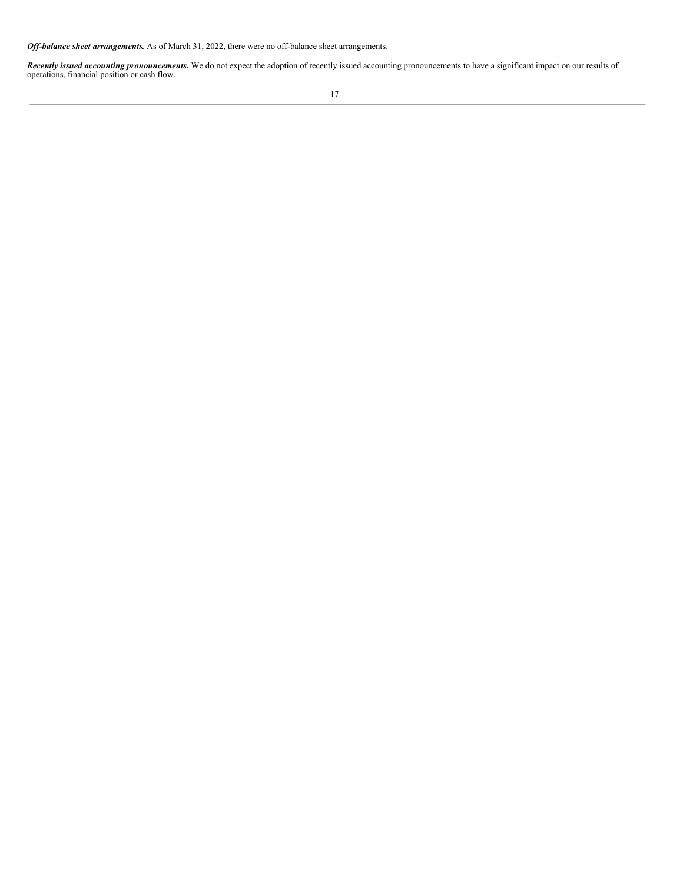Off-balance sheet arrangements. As of March 31, 2022, there were no off-balance sheet arrangements.

Recently issued accounting pronouncements. We do not expect the adoption of recently issued accounting pronouncements to have a significant impact on our results of operations, financial position or cash flow.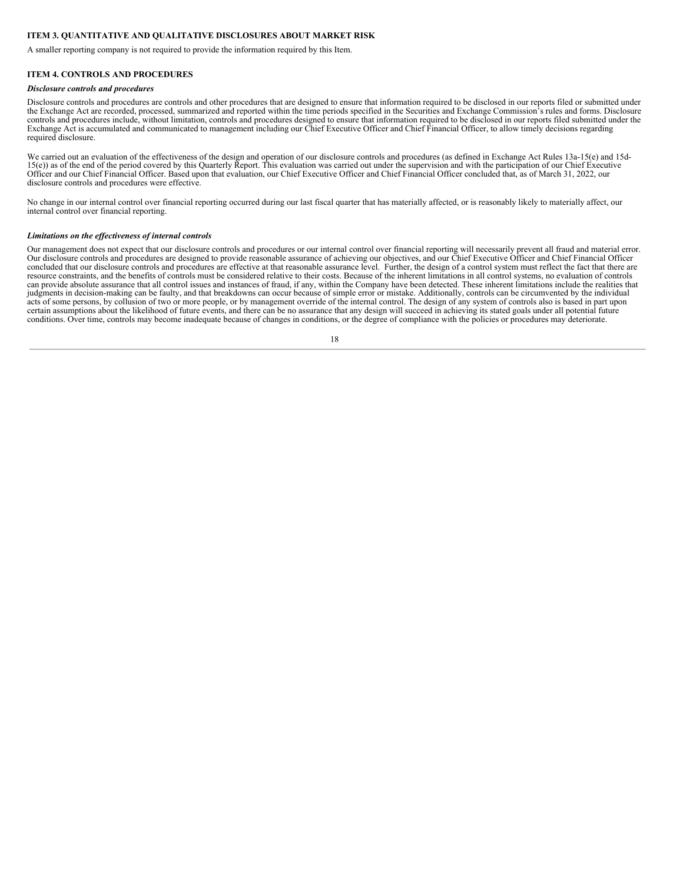# <span id="page-17-0"></span>**ITEM 3. QUANTITATIVE AND QUALITATIVE DISCLOSURES ABOUT MARKET RISK**

A smaller reporting company is not required to provide the information required by this Item.

#### <span id="page-17-1"></span>**ITEM 4. CONTROLS AND PROCEDURES**

#### *Disclosure controls and procedures*

Disclosure controls and procedures are controls and other procedures that are designed to ensure that information required to be disclosed in our reports filed or submitted under the Exchange Act are recorded, processed, summarized and reported within the time periods specified in the Securities and Exchange Commission's rules and forms. Disclosure controls and procedures include, without limitation, controls and procedures designed to ensure that information required to be disclosed in our reports filed submitted under the Exchange Act is accumulated and communicated to management including our Chief Executive Officer and Chief Financial Officer, to allow timely decisions regarding required disclosure.

We carried out an evaluation of the effectiveness of the design and operation of our disclosure controls and procedures (as defined in Exchange Act Rules 13a-15(e) and 15d-<br>15(e)) as of the end of the period covered by thi Officer and our Chief Financial Officer. Based upon that evaluation, our Chief Executive Officer and Chief Financial Officer concluded that, as of March 31, 2022, our disclosure controls and procedures were effective.

No change in our internal control over financial reporting occurred during our last fiscal quarter that has materially affected, or is reasonably likely to materially affect, our internal control over financial reporting.

#### *Limitations on the ef ectiveness of internal controls*

Our management does not expect that our disclosure controls and procedures or our internal control over financial reporting will necessarily prevent all fraud and material error.<br>Our disclosure controls and procedures are concluded that our disclosure controls and procedures are effective at that reasonable assurance level. Further, the design of a control system must reflect the fact that there are resource constraints, and the benefits of controls must be considered relative to their costs. Because of the inherent limitations in all control systems, no evaluation of controls can provide absolute assurance that all control issues and instances of fraud, if any, within the Company have been detected. These inherent limitations include the realities that judgments in decision-making can be faulty, and that breakdowns can occur because of simple error or mistake. Additionally, controls can be circumvented by the individual acts of some persons, by collusion of two or more people, or by management override of the internal control. The design of any system of controls also is based in part upon certain assumptions about the likelihood of future events, and there can be no assurance that any design will succeed in achieving its stated goals under all potential future conditions. Over time, controls may become inadequate because of changes in conditions, or the degree of compliance with the policies or procedures may deteriorate.

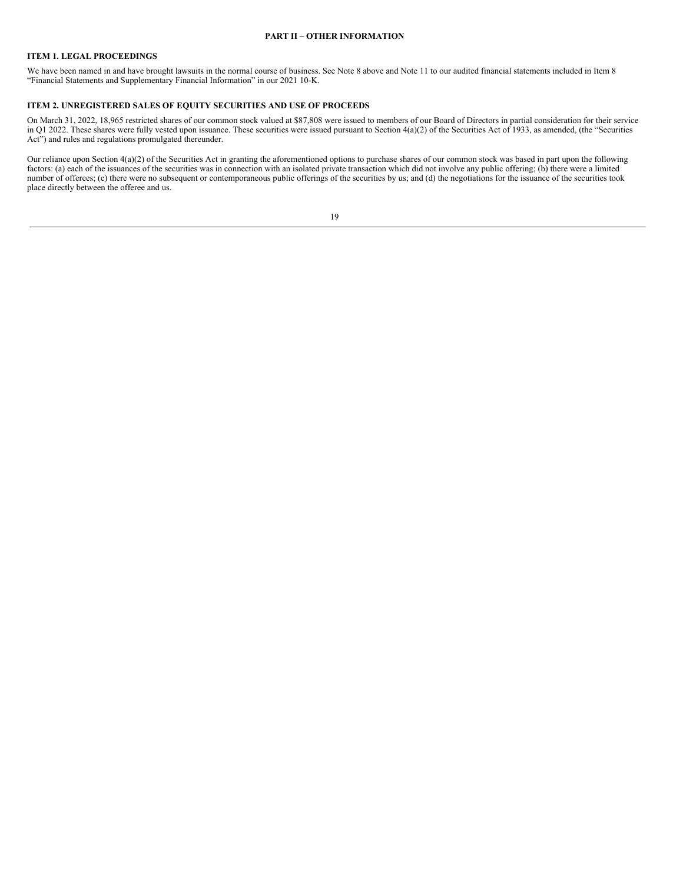# **PART II – OTHER INFORMATION**

## <span id="page-18-0"></span>**ITEM 1. LEGAL PROCEEDINGS**

We have been named in and have brought lawsuits in the normal course of business. See Note 8 above and Note 11 to our audited financial statements included in Item 8 "Financial Statements and Supplementary Financial Information" in our 2021 10-K.

# <span id="page-18-1"></span>**ITEM 2. UNREGISTERED SALES OF EQUITY SECURITIES AND USE OF PROCEEDS**

On March 31, 2022, 18,965 restricted shares of our common stock valued at \$87,808 were issued to members of our Board of Directors in partial consideration for their service in Q1 2022. These shares were fully vested upon issuance. These securities were issued pursuant to Section 4(a)(2) of the Securities Act of 1933, as amended, (the "Securities Act") and rules and regulations promulgated thereunder.

Our reliance upon Section 4(a)(2) of the Securities Act in granting the aforementioned options to purchase shares of our common stock was based in part upon the following factors: (a) each of the issuances of the securities was in connection with an isolated private transaction which did not involve any public offering; (b) there were a limited number of offerees; (c) there were no subsequent or contemporaneous public offerings of the securities by us; and (d) the negotiations for the issuance of the securities took place directly between the offeree and us.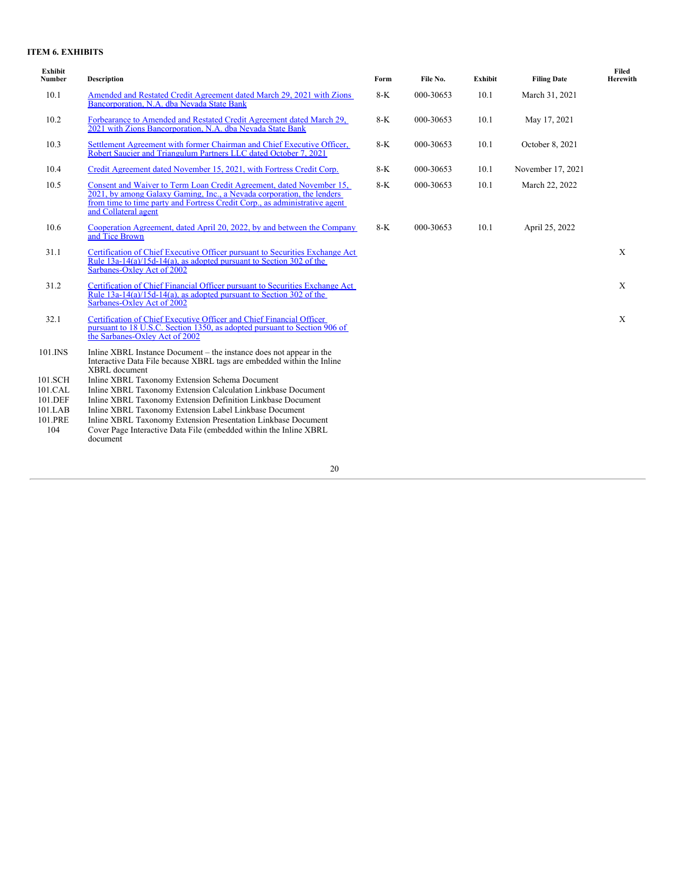# <span id="page-19-0"></span>**ITEM 6. EXHIBITS**

| Exhibit<br>Number  | Description                                                                                                                                                                                                                                         | Form  | File No.  | Exhibit | <b>Filing Date</b> | Filed<br>Herewith |
|--------------------|-----------------------------------------------------------------------------------------------------------------------------------------------------------------------------------------------------------------------------------------------------|-------|-----------|---------|--------------------|-------------------|
| 10.1               | Amended and Restated Credit Agreement dated March 29, 2021 with Zions<br>Bancorporation, N.A. dba Nevada State Bank                                                                                                                                 | $8-K$ | 000-30653 | 10.1    | March 31, 2021     |                   |
| 10.2               | Forbearance to Amended and Restated Credit Agreement dated March 29,<br>2021 with Zions Bancorporation, N.A. dba Nevada State Bank                                                                                                                  | $8-K$ | 000-30653 | 10.1    | May 17, 2021       |                   |
| 10.3               | Settlement Agreement with former Chairman and Chief Executive Officer,<br>Robert Saucier and Triangulum Partners LLC dated October 7, 2021                                                                                                          | $8-K$ | 000-30653 | 10.1    | October 8, 2021    |                   |
| 10.4               | Credit Agreement dated November 15, 2021, with Fortress Credit Corp.                                                                                                                                                                                | $8-K$ | 000-30653 | 10.1    | November 17, 2021  |                   |
| 10.5               | Consent and Waiver to Term Loan Credit Agreement, dated November 15,<br>2021, by among Galaxy Gaming, Inc., a Nevada corporation, the lenders<br>from time to time party and Fortress Credit Corp., as administrative agent<br>and Collateral agent | 8-K   | 000-30653 | 10.1    | March 22, 2022     |                   |
| 10.6               | Cooperation Agreement, dated April 20, 2022, by and between the Company<br>and Tice Brown                                                                                                                                                           | 8-K   | 000-30653 | 10.1    | April 25, 2022     |                   |
| 31.1               | Certification of Chief Executive Officer pursuant to Securities Exchange Act<br>Rule $13a-14(a)/15d-14(a)$ , as adopted pursuant to Section 302 of the<br>Sarbanes-Oxley Act of 2002                                                                |       |           |         |                    | X                 |
| 31.2               | Certification of Chief Financial Officer pursuant to Securities Exchange Act<br>Rule $13a-14(a)/15d-14(a)$ , as adopted pursuant to Section 302 of the<br>Sarbanes-Oxley Act of 2002                                                                |       |           |         |                    | X                 |
| 32.1               | Certification of Chief Executive Officer and Chief Financial Officer<br>pursuant to 18 U.S.C. Section 1350, as adopted pursuant to Section 906 of<br>the Sarbanes-Oxley Act of 2002                                                                 |       |           |         |                    | X                 |
| 101.INS            | Inline XBRL Instance Document – the instance does not appear in the<br>Interactive Data File because XBRL tags are embedded within the Inline<br>XBRL document                                                                                      |       |           |         |                    |                   |
| 101.SCH<br>101.CAL | Inline XBRL Taxonomy Extension Schema Document<br>Inline XBRL Taxonomy Extension Calculation Linkbase Document                                                                                                                                      |       |           |         |                    |                   |
| 101.DEF            | Inline XBRL Taxonomy Extension Definition Linkbase Document                                                                                                                                                                                         |       |           |         |                    |                   |
| 101.LAB<br>101.PRE | Inline XBRL Taxonomy Extension Label Linkbase Document<br>Inline XBRL Taxonomy Extension Presentation Linkbase Document                                                                                                                             |       |           |         |                    |                   |
| 104                | Cover Page Interactive Data File (embedded within the Inline XBRL<br>document                                                                                                                                                                       |       |           |         |                    |                   |
|                    |                                                                                                                                                                                                                                                     |       |           |         |                    |                   |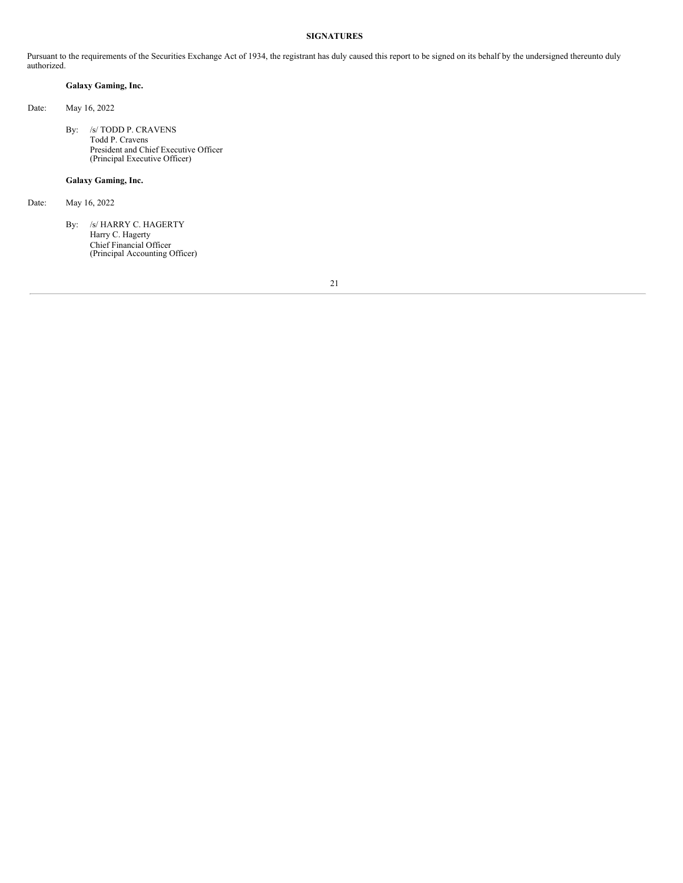# **SIGNATURES**

Pursuant to the requirements of the Securities Exchange Act of 1934, the registrant has duly caused this report to be signed on its behalf by the undersigned thereunto duly authorized.

# **Galaxy Gaming, Inc.**

Date: May 16, 2022

By: /s/ TODD P. CRAVENS Todd P. Cravens President and Chief Executive Officer (Principal Executive Officer)

# **Galaxy Gaming, Inc.**

Date: May 16, 2022

By: /s/ HARRY C. HAGERTY Harry C. Hagerty Chief Financial Officer (Principal Accounting Officer)

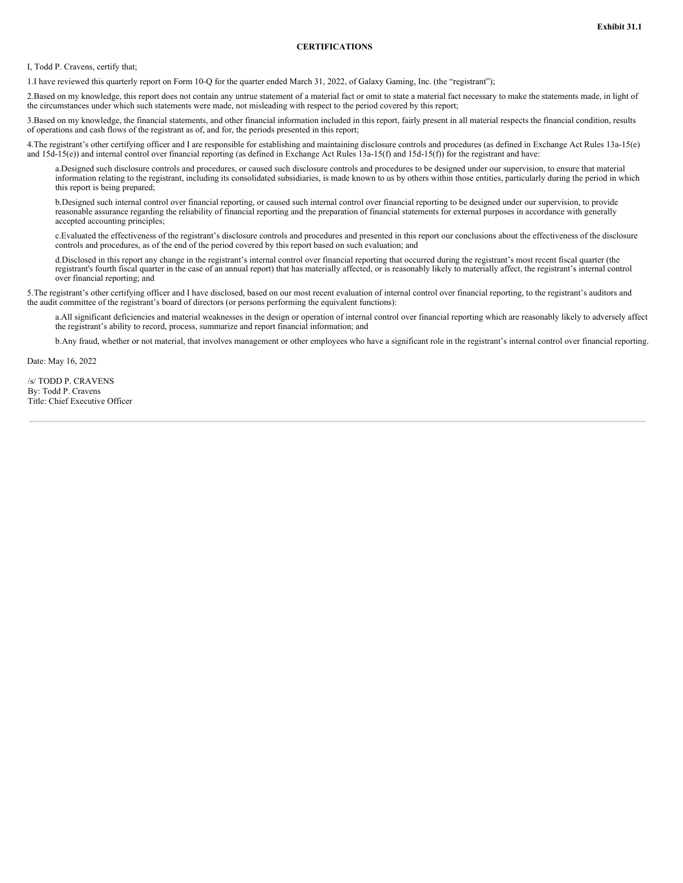#### **CERTIFICATIONS**

<span id="page-22-0"></span>I, Todd P. Cravens, certify that;

1.I have reviewed this quarterly report on Form 10-Q for the quarter ended March 31, 2022, of Galaxy Gaming, Inc. (the "registrant");

2.Based on my knowledge, this report does not contain any untrue statement of a material fact or omit to state a material fact necessary to make the statements made, in light of the circumstances under which such statements were made, not misleading with respect to the period covered by this report;

3.Based on my knowledge, the financial statements, and other financial information included in this report, fairly present in all material respects the financial condition, results of operations and cash flows of the registrant as of, and for, the periods presented in this report;

4.The registrant's other certifying officer and I are responsible for establishing and maintaining disclosure controls and procedures (as defined in Exchange Act Rules 13a-15(e) and 15d-15(e)) and internal control over financial reporting (as defined in Exchange Act Rules 13a-15(f) and 15d-15(f)) for the registrant and have:

a.Designed such disclosure controls and procedures, or caused such disclosure controls and procedures to be designed under our supervision, to ensure that material information relating to the registrant, including its consolidated subsidiaries, is made known to us by others within those entities, particularly during the period in which this report is being prepared;

b.Designed such internal control over financial reporting, or caused such internal control over financial reporting to be designed under our supervision, to provide reasonable assurance regarding the reliability of financial reporting and the preparation of financial statements for external purposes in accordance with generally accepted accounting principles;

c.Evaluated the effectiveness of the registrant's disclosure controls and procedures and presented in this report our conclusions about the effectiveness of the disclosure controls and procedures, as of the end of the period covered by this report based on such evaluation; and

d.Disclosed in this report any change in the registrant's internal control over financial reporting that occurred during the registrant's most recent fiscal quarter (the registrant's fourth fiscal quarter in the case of an annual report) that has materially affected, or is reasonably likely to materially affect, the registrant's internal control over financial reporting; and

5.The registrant's other certifying officer and I have disclosed, based on our most recent evaluation of internal control over financial reporting, to the registrant's auditors and the audit committee of the registrant's board of directors (or persons performing the equivalent functions):

a.All significant deficiencies and material weaknesses in the design or operation of internal control over financial reporting which are reasonably likely to adversely affect the registrant's ability to record, process, summarize and report financial information; and

b.Any fraud, whether or not material, that involves management or other employees who have a significant role in the registrant's internal control over financial reporting.

Date: May 16, 2022

/s/ TODD P. CRAVENS By: Todd P. Cravens Title: Chief Executive Officer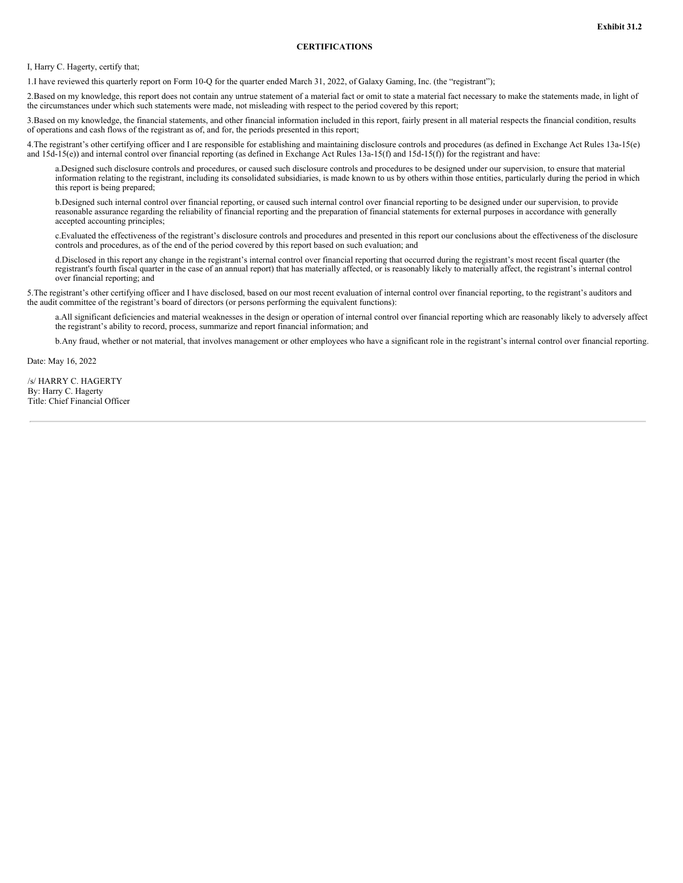#### **CERTIFICATIONS**

<span id="page-24-0"></span>I, Harry C. Hagerty, certify that;

1.I have reviewed this quarterly report on Form 10-Q for the quarter ended March 31, 2022, of Galaxy Gaming, Inc. (the "registrant");

2.Based on my knowledge, this report does not contain any untrue statement of a material fact or omit to state a material fact necessary to make the statements made, in light of the circumstances under which such statements were made, not misleading with respect to the period covered by this report;

3.Based on my knowledge, the financial statements, and other financial information included in this report, fairly present in all material respects the financial condition, results of operations and cash flows of the registrant as of, and for, the periods presented in this report;

4.The registrant's other certifying officer and I are responsible for establishing and maintaining disclosure controls and procedures (as defined in Exchange Act Rules 13a-15(e) and 15d-15(e)) and internal control over financial reporting (as defined in Exchange Act Rules 13a-15(f) and 15d-15(f)) for the registrant and have:

a.Designed such disclosure controls and procedures, or caused such disclosure controls and procedures to be designed under our supervision, to ensure that material information relating to the registrant, including its consolidated subsidiaries, is made known to us by others within those entities, particularly during the period in which this report is being prepared;

b.Designed such internal control over financial reporting, or caused such internal control over financial reporting to be designed under our supervision, to provide reasonable assurance regarding the reliability of financial reporting and the preparation of financial statements for external purposes in accordance with generally accepted accounting principles;

c.Evaluated the effectiveness of the registrant's disclosure controls and procedures and presented in this report our conclusions about the effectiveness of the disclosure controls and procedures, as of the end of the period covered by this report based on such evaluation; and

d.Disclosed in this report any change in the registrant's internal control over financial reporting that occurred during the registrant's most recent fiscal quarter (the registrant's fourth fiscal quarter in the case of an annual report) that has materially affected, or is reasonably likely to materially affect, the registrant's internal control over financial reporting; and

5.The registrant's other certifying officer and I have disclosed, based on our most recent evaluation of internal control over financial reporting, to the registrant's auditors and the audit committee of the registrant's board of directors (or persons performing the equivalent functions):

a.All significant deficiencies and material weaknesses in the design or operation of internal control over financial reporting which are reasonably likely to adversely affect the registrant's ability to record, process, summarize and report financial information; and

b.Any fraud, whether or not material, that involves management or other employees who have a significant role in the registrant's internal control over financial reporting.

Date: May 16, 2022

/s/ HARRY C. HAGERTY By: Harry C. Hagerty Title: Chief Financial Officer